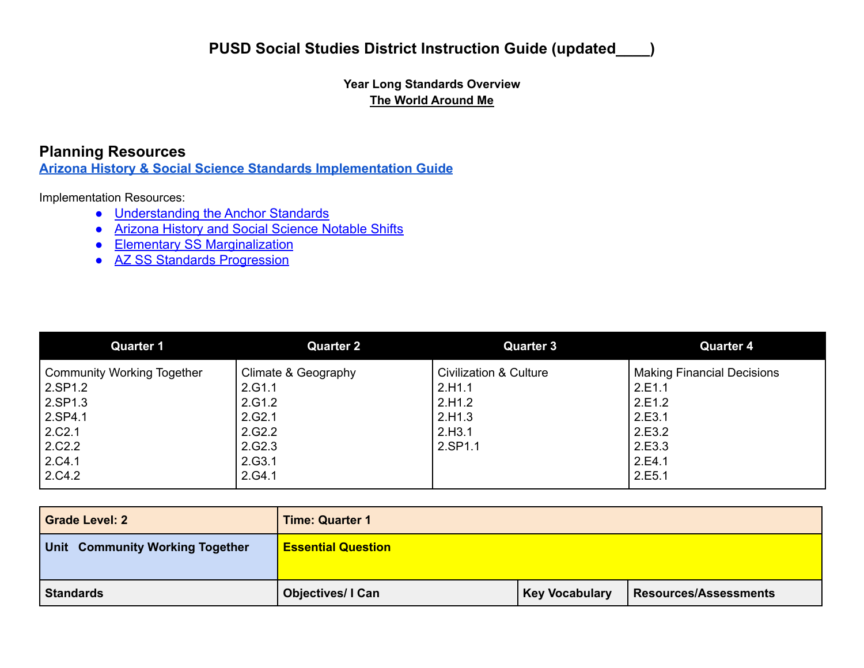### **Year Long Standards Overview The World Around Me**

### **Planning Resources**

**[Arizona History & Social Science Standards Implementation](https://cms.azed.gov/home/GetDocumentFile?id=5cafa4f41dcb2511e88cfe47) Guide**

Implementation Resources:

- [Understanding the Anchor Standards](https://cms.azed.gov/home/GetDocumentFile?id=5c6ebb9e1dcb2513bc78dc32)
- [Arizona History and Social Science Notable Shifts](https://cms.azed.gov/home/GetDocumentFile?id=5c6ebacb1dcb2513bc78dc24)
- [Elementary SS Marginalization](https://cms.azed.gov/home/GetDocumentFile?id=5c6ebb0c1dcb2513bc78dc2c)
- **●** [AZ SS Standards Progression](https://drive.google.com/file/d/108KqAwbZVX1fRpXFJcW2Fmb39Pv52OoG/view?usp=sharing)

| <b>Quarter 1</b>                  | <b>Quarter 2</b>    | <b>Quarter 3</b>       | <b>Quarter 4</b>                  |
|-----------------------------------|---------------------|------------------------|-----------------------------------|
| <b>Community Working Together</b> | Climate & Geography | Civilization & Culture | <b>Making Financial Decisions</b> |
| 2.SP1.2                           | 2.G1.1              | 2.H1.1                 | 2.E1.1                            |
| 2.SP1.3                           | 2.G1.2              | 2.H1.2                 | 2.E1.2                            |
| $\vert$ 2.SP4.1                   | 2.G2.1              | 2.H1.3                 | 2.E3.1                            |
| 2.C2.1                            | 2.G2.2              | 2.H3.1                 | 2.E3.2                            |
| 2.C2.2                            | 2.G2.3              | 2.SP1.1                | 2.E3.3                            |
| 2.C4.1                            | 2.G3.1              |                        | 2.E4.1                            |
| 2.C4.2                            | 2.G4.1              |                        | 2.E5.1                            |

| <b>Grade Level: 2</b>                  | <b>Time: Quarter 1</b>    |                       |                              |
|----------------------------------------|---------------------------|-----------------------|------------------------------|
| <b>Unit Community Working Together</b> | <b>Essential Question</b> |                       |                              |
| <b>Standards</b>                       | <b>Objectives/I Can</b>   | <b>Key Vocabulary</b> | <b>Resources/Assessments</b> |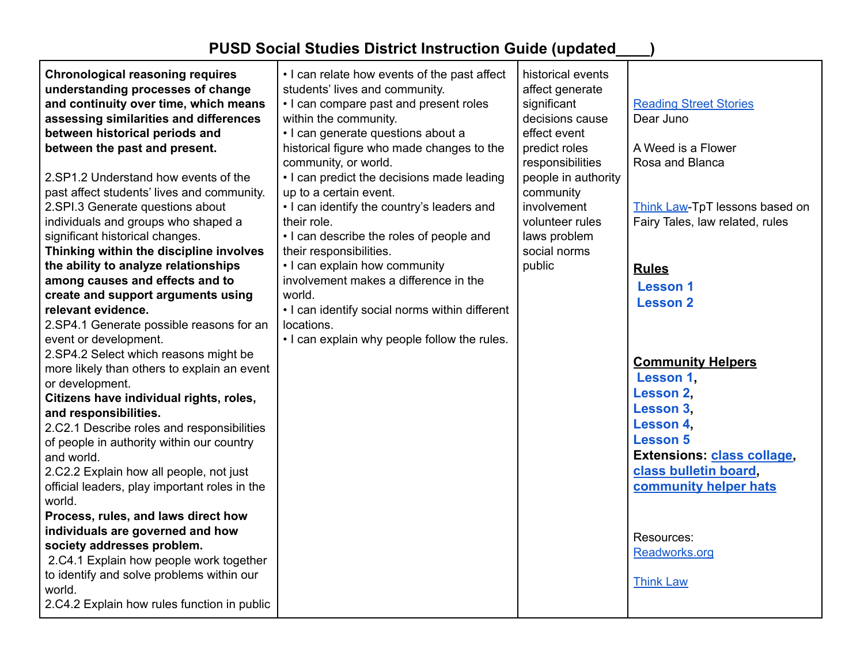| <b>Chronological reasoning requires</b><br>understanding processes of change<br>and continuity over time, which means<br>assessing similarities and differences<br>between historical periods and<br>between the past and present.<br>2.SP1.2 Understand how events of the<br>past affect students' lives and community.<br>2.SPI.3 Generate questions about<br>individuals and groups who shaped a | • I can relate how events of the past affect<br>students' lives and community.<br>• I can compare past and present roles<br>within the community.<br>· I can generate questions about a<br>historical figure who made changes to the<br>community, or world.<br>• I can predict the decisions made leading<br>up to a certain event.<br>• I can identify the country's leaders and<br>their role. | historical events<br>affect generate<br>significant<br>decisions cause<br>effect event<br>predict roles<br>responsibilities<br>people in authority<br>community<br>involvement<br>volunteer rules | <b>Reading Street Stories</b><br>Dear Juno<br>A Weed is a Flower<br>Rosa and Blanca<br>Think Law-TpT lessons based on<br>Fairy Tales, law related, rules |
|-----------------------------------------------------------------------------------------------------------------------------------------------------------------------------------------------------------------------------------------------------------------------------------------------------------------------------------------------------------------------------------------------------|---------------------------------------------------------------------------------------------------------------------------------------------------------------------------------------------------------------------------------------------------------------------------------------------------------------------------------------------------------------------------------------------------|---------------------------------------------------------------------------------------------------------------------------------------------------------------------------------------------------|----------------------------------------------------------------------------------------------------------------------------------------------------------|
| significant historical changes.<br>Thinking within the discipline involves                                                                                                                                                                                                                                                                                                                          | • I can describe the roles of people and<br>their responsibilities.                                                                                                                                                                                                                                                                                                                               | laws problem<br>social norms                                                                                                                                                                      |                                                                                                                                                          |
| the ability to analyze relationships<br>among causes and effects and to<br>create and support arguments using<br>relevant evidence.<br>2.SP4.1 Generate possible reasons for an<br>event or development.                                                                                                                                                                                            | • I can explain how community<br>involvement makes a difference in the<br>world.<br>• I can identify social norms within different<br>locations.<br>. I can explain why people follow the rules.                                                                                                                                                                                                  | public                                                                                                                                                                                            | <b>Rules</b><br><b>Lesson 1</b><br><b>Lesson 2</b>                                                                                                       |
| 2.SP4.2 Select which reasons might be<br>more likely than others to explain an event<br>or development.<br>Citizens have individual rights, roles,<br>and responsibilities.<br>2.C2.1 Describe roles and responsibilities<br>of people in authority within our country<br>and world.                                                                                                                |                                                                                                                                                                                                                                                                                                                                                                                                   |                                                                                                                                                                                                   | <b>Community Helpers</b><br>Lesson 1.<br>Lesson 2.<br>Lesson 3,<br>Lesson 4,<br><b>Lesson 5</b><br><b>Extensions: class collage,</b>                     |
| 2.C2.2 Explain how all people, not just<br>official leaders, play important roles in the<br>world.<br>Process, rules, and laws direct how<br>individuals are governed and how<br>society addresses problem.<br>2.C4.1 Explain how people work together<br>to identify and solve problems within our<br>world.<br>2.C4.2 Explain how rules function in public                                        |                                                                                                                                                                                                                                                                                                                                                                                                   |                                                                                                                                                                                                   | class bulletin board,<br>community helper hats<br>Resources:<br>Readworks.org<br><b>Think Law</b>                                                        |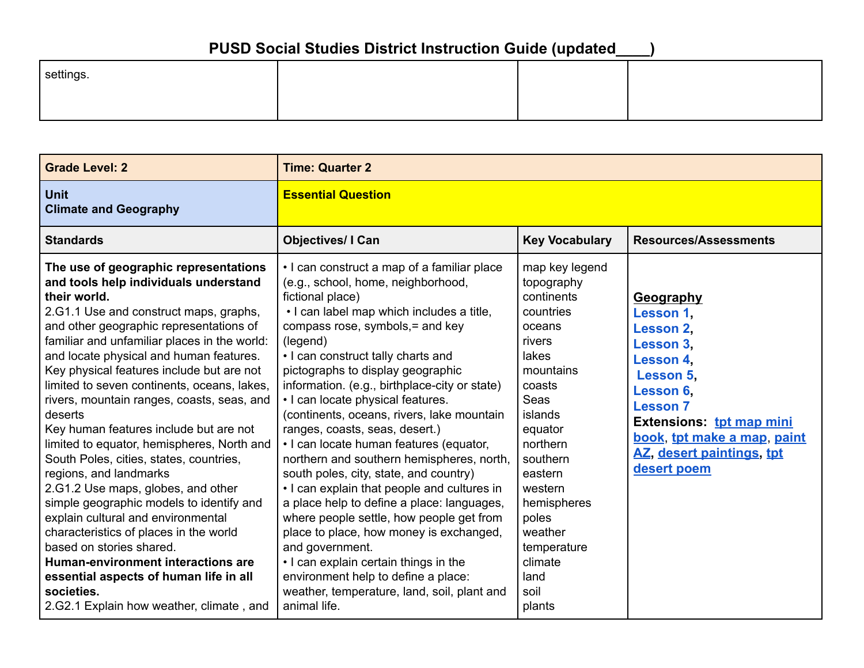| settings. |  |  |
|-----------|--|--|
|           |  |  |

| <b>Grade Level: 2</b>                                                                                                                                                                                                                                                                                                                                                                                                                                                                                                                                                                                                                                                                                                                                                                                                                                                                                                                    | <b>Time: Quarter 2</b>                                                                                                                                                                                                                                                                                                                                                                                                                                                                                                                                                                                                                                                                                                                                                                                                                                                                                                                      |                                                                                                                                                                                                                                                                                |                                                                                                                                                                                                                                        |
|------------------------------------------------------------------------------------------------------------------------------------------------------------------------------------------------------------------------------------------------------------------------------------------------------------------------------------------------------------------------------------------------------------------------------------------------------------------------------------------------------------------------------------------------------------------------------------------------------------------------------------------------------------------------------------------------------------------------------------------------------------------------------------------------------------------------------------------------------------------------------------------------------------------------------------------|---------------------------------------------------------------------------------------------------------------------------------------------------------------------------------------------------------------------------------------------------------------------------------------------------------------------------------------------------------------------------------------------------------------------------------------------------------------------------------------------------------------------------------------------------------------------------------------------------------------------------------------------------------------------------------------------------------------------------------------------------------------------------------------------------------------------------------------------------------------------------------------------------------------------------------------------|--------------------------------------------------------------------------------------------------------------------------------------------------------------------------------------------------------------------------------------------------------------------------------|----------------------------------------------------------------------------------------------------------------------------------------------------------------------------------------------------------------------------------------|
| <b>Unit</b><br><b>Climate and Geography</b>                                                                                                                                                                                                                                                                                                                                                                                                                                                                                                                                                                                                                                                                                                                                                                                                                                                                                              | <b>Essential Question</b>                                                                                                                                                                                                                                                                                                                                                                                                                                                                                                                                                                                                                                                                                                                                                                                                                                                                                                                   |                                                                                                                                                                                                                                                                                |                                                                                                                                                                                                                                        |
| <b>Standards</b>                                                                                                                                                                                                                                                                                                                                                                                                                                                                                                                                                                                                                                                                                                                                                                                                                                                                                                                         | <b>Objectives/ I Can</b>                                                                                                                                                                                                                                                                                                                                                                                                                                                                                                                                                                                                                                                                                                                                                                                                                                                                                                                    | <b>Key Vocabulary</b>                                                                                                                                                                                                                                                          | <b>Resources/Assessments</b>                                                                                                                                                                                                           |
| The use of geographic representations<br>and tools help individuals understand<br>their world.<br>2.G1.1 Use and construct maps, graphs,<br>and other geographic representations of<br>familiar and unfamiliar places in the world:<br>and locate physical and human features.<br>Key physical features include but are not<br>limited to seven continents, oceans, lakes,<br>rivers, mountain ranges, coasts, seas, and<br>deserts<br>Key human features include but are not<br>limited to equator, hemispheres, North and<br>South Poles, cities, states, countries,<br>regions, and landmarks<br>2.G1.2 Use maps, globes, and other<br>simple geographic models to identify and<br>explain cultural and environmental<br>characteristics of places in the world<br>based on stories shared.<br>Human-environment interactions are<br>essential aspects of human life in all<br>societies.<br>2.G2.1 Explain how weather, climate, and | • I can construct a map of a familiar place<br>(e.g., school, home, neighborhood,<br>fictional place)<br>· I can label map which includes a title,<br>compass rose, symbols, = and key<br>(legend)<br>. I can construct tally charts and<br>pictographs to display geographic<br>information. (e.g., birthplace-city or state)<br>• I can locate physical features.<br>(continents, oceans, rivers, lake mountain<br>ranges, coasts, seas, desert.)<br>· I can locate human features (equator,<br>northern and southern hemispheres, north,<br>south poles, city, state, and country)<br>• I can explain that people and cultures in<br>a place help to define a place: languages,<br>where people settle, how people get from<br>place to place, how money is exchanged,<br>and government.<br>• I can explain certain things in the<br>environment help to define a place:<br>weather, temperature, land, soil, plant and<br>animal life. | map key legend<br>topography<br>continents<br>countries<br>oceans<br>rivers<br>lakes<br>mountains<br>coasts<br>Seas<br>islands<br>equator<br>northern<br>southern<br>eastern<br>western<br>hemispheres<br>poles<br>weather<br>temperature<br>climate<br>land<br>soil<br>plants | <b>Geography</b><br>Lesson 1,<br>Lesson 2.<br><b>Lesson 3.</b><br>Lesson 4.<br><b>Lesson 5.</b><br>Lesson 6.<br><b>Lesson 7</b><br>Extensions: tpt map mini<br>book, tpt make a map, paint<br>AZ, desert paintings, tpt<br>desert poem |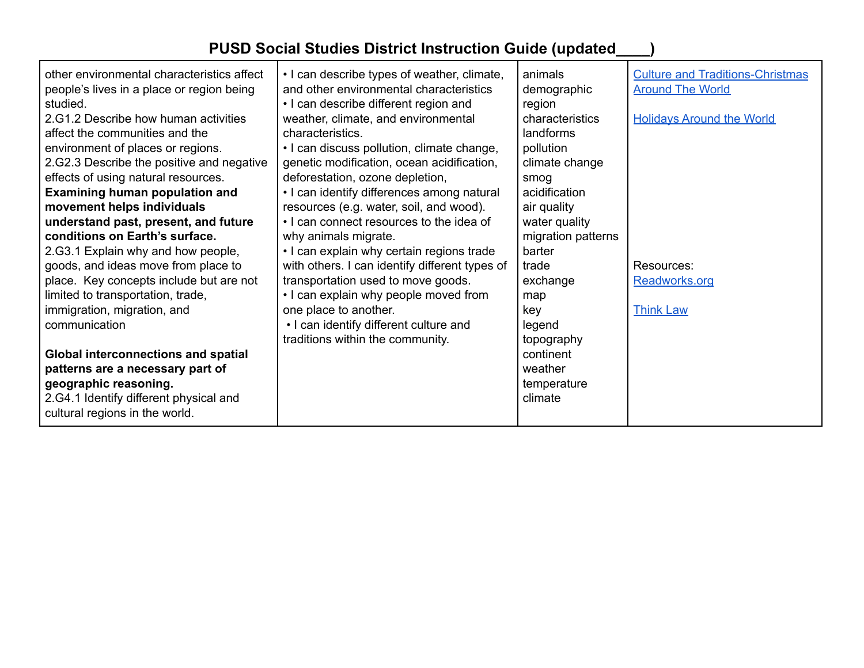| other environmental characteristics affect<br>people's lives in a place or region being<br>studied.<br>2.G1.2 Describe how human activities<br>affect the communities and the<br>environment of places or regions.<br>2.G2.3 Describe the positive and negative<br>effects of using natural resources.<br>Examining human population and<br>movement helps individuals<br>understand past, present, and future<br>conditions on Earth's surface.<br>2.G3.1 Explain why and how people,<br>goods, and ideas move from place to<br>place. Key concepts include but are not<br>limited to transportation, trade,<br>immigration, migration, and<br>communication<br><b>Global interconnections and spatial</b><br>patterns are a necessary part of | • I can describe types of weather, climate,<br>and other environmental characteristics<br>• I can describe different region and<br>weather, climate, and environmental<br>characteristics.<br>• I can discuss pollution, climate change,<br>genetic modification, ocean acidification,<br>deforestation, ozone depletion,<br>• I can identify differences among natural<br>resources (e.g. water, soil, and wood).<br>. I can connect resources to the idea of<br>why animals migrate.<br>• I can explain why certain regions trade<br>with others. I can identify different types of<br>transportation used to move goods.<br>• I can explain why people moved from<br>one place to another.<br>• I can identify different culture and<br>traditions within the community. | animals<br>demographic<br>region<br>characteristics<br>landforms<br>pollution<br>climate change<br>smog<br>acidification<br>air quality<br>water quality<br>migration patterns<br>barter<br>trade<br>exchange<br>map<br>key<br>legend<br>topography<br>continent<br>weather | <b>Culture and Traditions-Christmas</b><br><b>Around The World</b><br><b>Holidays Around the World</b><br>Resources:<br>Readworks.org<br><b>Think Law</b> |
|-------------------------------------------------------------------------------------------------------------------------------------------------------------------------------------------------------------------------------------------------------------------------------------------------------------------------------------------------------------------------------------------------------------------------------------------------------------------------------------------------------------------------------------------------------------------------------------------------------------------------------------------------------------------------------------------------------------------------------------------------|-----------------------------------------------------------------------------------------------------------------------------------------------------------------------------------------------------------------------------------------------------------------------------------------------------------------------------------------------------------------------------------------------------------------------------------------------------------------------------------------------------------------------------------------------------------------------------------------------------------------------------------------------------------------------------------------------------------------------------------------------------------------------------|-----------------------------------------------------------------------------------------------------------------------------------------------------------------------------------------------------------------------------------------------------------------------------|-----------------------------------------------------------------------------------------------------------------------------------------------------------|
| geographic reasoning.<br>2.G4.1 Identify different physical and                                                                                                                                                                                                                                                                                                                                                                                                                                                                                                                                                                                                                                                                                 |                                                                                                                                                                                                                                                                                                                                                                                                                                                                                                                                                                                                                                                                                                                                                                             | temperature<br>climate                                                                                                                                                                                                                                                      |                                                                                                                                                           |
| cultural regions in the world.                                                                                                                                                                                                                                                                                                                                                                                                                                                                                                                                                                                                                                                                                                                  |                                                                                                                                                                                                                                                                                                                                                                                                                                                                                                                                                                                                                                                                                                                                                                             |                                                                                                                                                                                                                                                                             |                                                                                                                                                           |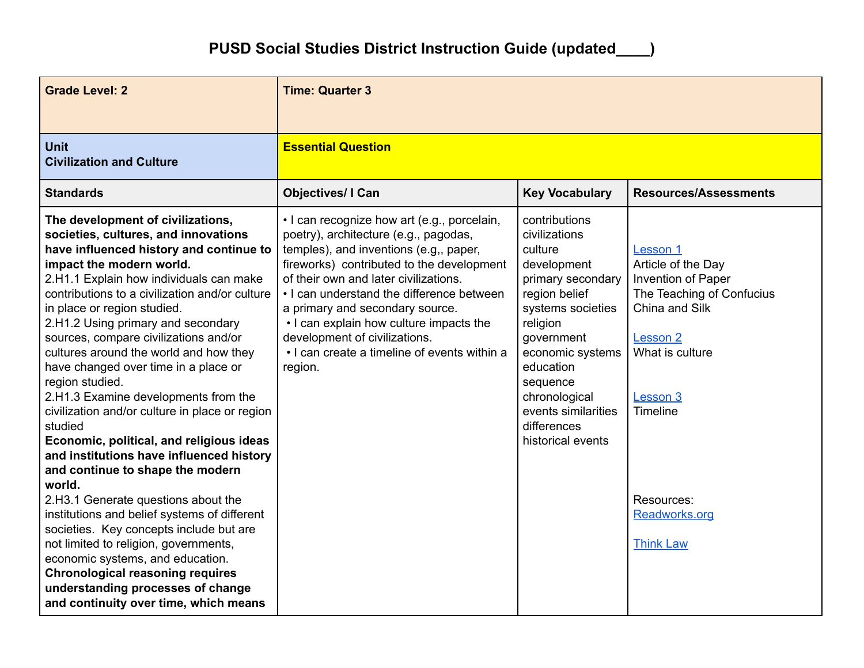| <b>Grade Level: 2</b>                                                                                                                                                                                                                                                                                                                                                                                                                                                                                                                                                                                                                                                                                                                                                                                                                                                                                                                                                                                                                               | <b>Time: Quarter 3</b>                                                                                                                                                                                                                                                                                                                                                                                                                      |                                                                                                                                                                                                                                                                        |                                                                                                                                                                                                                      |  |
|-----------------------------------------------------------------------------------------------------------------------------------------------------------------------------------------------------------------------------------------------------------------------------------------------------------------------------------------------------------------------------------------------------------------------------------------------------------------------------------------------------------------------------------------------------------------------------------------------------------------------------------------------------------------------------------------------------------------------------------------------------------------------------------------------------------------------------------------------------------------------------------------------------------------------------------------------------------------------------------------------------------------------------------------------------|---------------------------------------------------------------------------------------------------------------------------------------------------------------------------------------------------------------------------------------------------------------------------------------------------------------------------------------------------------------------------------------------------------------------------------------------|------------------------------------------------------------------------------------------------------------------------------------------------------------------------------------------------------------------------------------------------------------------------|----------------------------------------------------------------------------------------------------------------------------------------------------------------------------------------------------------------------|--|
| <b>Unit</b><br><b>Civilization and Culture</b>                                                                                                                                                                                                                                                                                                                                                                                                                                                                                                                                                                                                                                                                                                                                                                                                                                                                                                                                                                                                      | <b>Essential Question</b>                                                                                                                                                                                                                                                                                                                                                                                                                   |                                                                                                                                                                                                                                                                        |                                                                                                                                                                                                                      |  |
| <b>Standards</b>                                                                                                                                                                                                                                                                                                                                                                                                                                                                                                                                                                                                                                                                                                                                                                                                                                                                                                                                                                                                                                    | <b>Objectives/ I Can</b>                                                                                                                                                                                                                                                                                                                                                                                                                    | <b>Key Vocabulary</b>                                                                                                                                                                                                                                                  | <b>Resources/Assessments</b>                                                                                                                                                                                         |  |
| The development of civilizations,<br>societies, cultures, and innovations<br>have influenced history and continue to<br>impact the modern world.<br>2.H1.1 Explain how individuals can make<br>contributions to a civilization and/or culture<br>in place or region studied.<br>2.H1.2 Using primary and secondary<br>sources, compare civilizations and/or<br>cultures around the world and how they<br>have changed over time in a place or<br>region studied.<br>2.H1.3 Examine developments from the<br>civilization and/or culture in place or region<br>studied<br>Economic, political, and religious ideas<br>and institutions have influenced history<br>and continue to shape the modern<br>world.<br>2.H3.1 Generate questions about the<br>institutions and belief systems of different<br>societies. Key concepts include but are<br>not limited to religion, governments,<br>economic systems, and education.<br><b>Chronological reasoning requires</b><br>understanding processes of change<br>and continuity over time, which means | • I can recognize how art (e.g., porcelain,<br>poetry), architecture (e.g., pagodas,<br>temples), and inventions (e.g., paper,<br>fireworks) contributed to the development<br>of their own and later civilizations.<br>• I can understand the difference between<br>a primary and secondary source.<br>• I can explain how culture impacts the<br>development of civilizations.<br>• I can create a timeline of events within a<br>region. | contributions<br>civilizations<br>culture<br>development<br>primary secondary<br>region belief<br>systems societies<br>religion<br>government<br>economic systems<br>education<br>sequence<br>chronological<br>events similarities<br>differences<br>historical events | Lesson 1<br>Article of the Day<br>Invention of Paper<br>The Teaching of Confucius<br>China and Silk<br><b>Lesson 2</b><br>What is culture<br>Lesson 3<br>Timeline<br>Resources:<br>Readworks.org<br><b>Think Law</b> |  |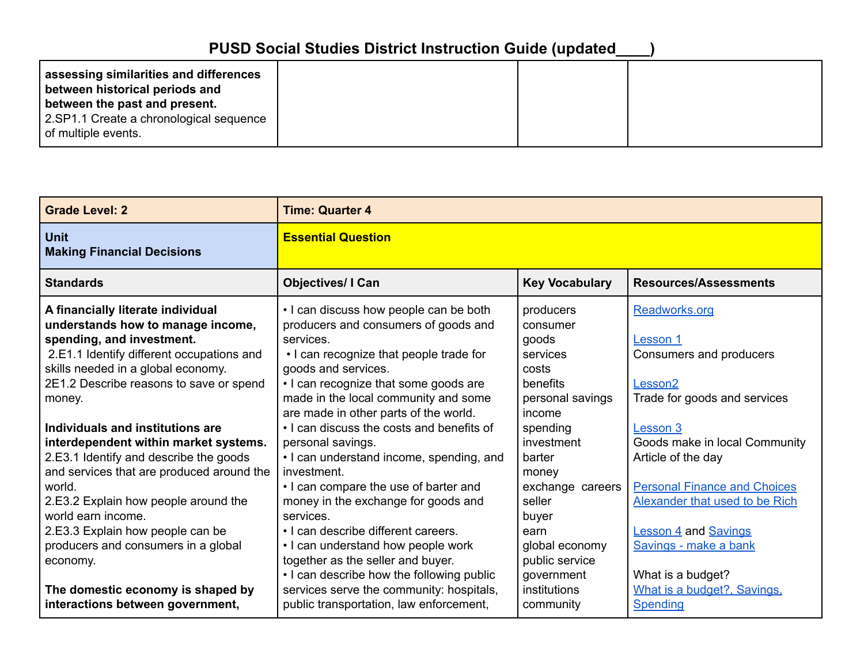| assessing similarities and differences<br>between historical periods and<br>between the past and present. |  |  |
|-----------------------------------------------------------------------------------------------------------|--|--|
| 2.SP1.1 Create a chronological sequence<br>of multiple events.                                            |  |  |

| <b>Grade Level: 2</b>                                                                                                                                                                                                                                                                                                           | <b>Time: Quarter 4</b>                                                                                                                                                                                                                                                                                                                                                                |                                                                                                                                            |                                                                                                                                                                                                                       |  |
|---------------------------------------------------------------------------------------------------------------------------------------------------------------------------------------------------------------------------------------------------------------------------------------------------------------------------------|---------------------------------------------------------------------------------------------------------------------------------------------------------------------------------------------------------------------------------------------------------------------------------------------------------------------------------------------------------------------------------------|--------------------------------------------------------------------------------------------------------------------------------------------|-----------------------------------------------------------------------------------------------------------------------------------------------------------------------------------------------------------------------|--|
| <b>Unit</b><br><b>Making Financial Decisions</b>                                                                                                                                                                                                                                                                                | <b>Essential Question</b>                                                                                                                                                                                                                                                                                                                                                             |                                                                                                                                            |                                                                                                                                                                                                                       |  |
| <b>Standards</b>                                                                                                                                                                                                                                                                                                                | <b>Objectives/ I Can</b>                                                                                                                                                                                                                                                                                                                                                              | <b>Key Vocabulary</b>                                                                                                                      | <b>Resources/Assessments</b>                                                                                                                                                                                          |  |
| A financially literate individual<br>understands how to manage income,<br>spending, and investment.<br>2.E1.1 Identify different occupations and<br>skills needed in a global economy.<br>2E1.2 Describe reasons to save or spend                                                                                               | . I can discuss how people can be both<br>producers and consumers of goods and<br>services.<br>• I can recognize that people trade for<br>goods and services.<br>• I can recognize that some goods are                                                                                                                                                                                | producers<br>consumer<br>goods<br>services<br>costs<br>benefits                                                                            | Readworks.org<br>Lesson 1<br>Consumers and producers<br>Lesson <sub>2</sub>                                                                                                                                           |  |
| money.                                                                                                                                                                                                                                                                                                                          | made in the local community and some<br>are made in other parts of the world.                                                                                                                                                                                                                                                                                                         | personal savings<br>income                                                                                                                 | Trade for goods and services                                                                                                                                                                                          |  |
| Individuals and institutions are<br>interdependent within market systems.<br>2.E3.1 Identify and describe the goods<br>and services that are produced around the<br>world.<br>2.E3.2 Explain how people around the<br>world earn income.<br>2.E3.3 Explain how people can be<br>producers and consumers in a global<br>economy. | • I can discuss the costs and benefits of<br>personal savings.<br>• I can understand income, spending, and<br>investment.<br>• I can compare the use of barter and<br>money in the exchange for goods and<br>services.<br>. I can describe different careers.<br>• I can understand how people work<br>together as the seller and buyer.<br>. I can describe how the following public | spending<br>investment<br>barter<br>money<br>exchange careers<br>seller<br>buyer<br>earn<br>global economy<br>public service<br>government | Lesson 3<br>Goods make in local Community<br>Article of the day<br><b>Personal Finance and Choices</b><br>Alexander that used to be Rich<br><b>Lesson 4 and Savings</b><br>Savings - make a bank<br>What is a budget? |  |
| The domestic economy is shaped by<br>interactions between government,                                                                                                                                                                                                                                                           | services serve the community: hospitals,<br>public transportation, law enforcement,                                                                                                                                                                                                                                                                                                   | institutions<br>community                                                                                                                  | What is a budget?, Savings,<br><b>Spending</b>                                                                                                                                                                        |  |